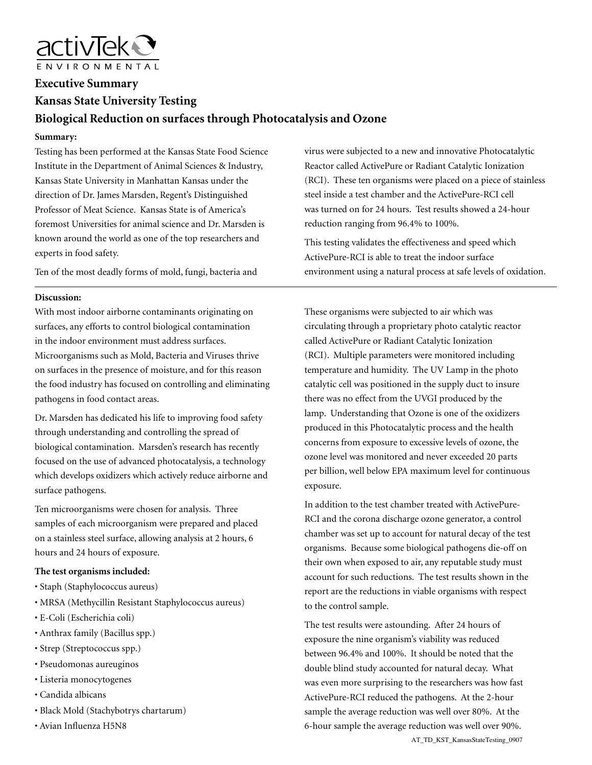

# **Executive Summary Kansas State University Testing Biological Reduction on surfaces through Photocatalysis and Ozone**

#### **Summary:**

Testing has been performed at the Kansas State Food Science Institute in the Department of Animal Sciences & Industry, Kansas State University in Manhattan Kansas under the direction of Dr. James Marsden, Regent's Distinguished Professor of Meat Science. Kansas State is of America's foremost Universities for animal science and Dr. Marsden is known around the world as one of the top researchers and experts in food safety.

Ten of the most deadly forms of mold, fungi, bacteria and

### **Discussion:**

With most indoor airborne contaminants originating on surfaces, any efforts to control biological contamination in the indoor environment must address surfaces. Microorganisms such as Mold, Bacteria and Viruses thrive on surfaces in the presence of moisture, and for this reason the food industry has focused on controlling and eliminating pathogens in food contact areas.

Dr. Marsden has dedicated his life to improving food safety through understanding and controlling the spread of biological contamination. Marsden's research has recently focused on the use of advanced photocatalysis, a technology which develops oxidizers which actively reduce airborne and surface pathogens.

Ten microorganisms were chosen for analysis. Three samples of each microorganism were prepared and placed on a stainless steel surface, allowing analysis at 2 hours, 6 hours and 24 hours of exposure.

#### **The test organisms included:**

- Staph (Staphylococcus aureus)
- MRSA (Methycillin Resistant Staphylococcus aureus)
- E-Coli (Escherichia coli)
- Anthrax family (Bacillus spp.)
- Strep (Streptococcus spp.)
- Pseudomonas aureuginos
- Listeria monocytogenes
- Candida albicans
- Black Mold (Stachybotrys chartarum)
- Avian Influenza H5N8

virus were subjected to a new and innovative Photocatalytic Reactor called ActivePure or Radiant Catalytic Ionization (RCI). These ten organisms were placed on a piece of stainless steel inside a test chamber and the ActivePure-RCI cell was turned on for 24 hours. Test results showed a 24-hour reduction ranging from 96.4% to 100%.

This testing validates the effectiveness and speed which ActivePure-RCI is able to treat the indoor surface environment using a natural process at safe levels of oxidation.

These organisms were subjected to air which was circulating through a proprietary photo catalytic reactor called ActivePure or Radiant Catalytic Ionization (RCI). Multiple parameters were monitored including temperature and humidity. The UV Lamp in the photo catalytic cell was positioned in the supply duct to insure there was no effect from the UVGI produced by the lamp. Understanding that Ozone is one of the oxidizers produced in this Photocatalytic process and the health concerns from exposure to excessive levels of ozone, the ozone level was monitored and never exceeded 20 parts per billion, well below EPA maximum level for continuous exposure.

In addition to the test chamber treated with ActivePure-RCI and the corona discharge ozone generator, a control chamber was set up to account for natural decay of the test organisms. Because some biological pathogens die-off on their own when exposed to air, any reputable study must account for such reductions. The test results shown in the report are the reductions in viable organisms with respect to the control sample.

The test results were astounding. After 24 hours of exposure the nine organism's viability was reduced between 96.4% and 100%. It should be noted that the double blind study accounted for natural decay. What was even more surprising to the researchers was how fast ActivePure-RCI reduced the pathogens. At the 2-hour sample the average reduction was well over 80%. At the 6-hour sample the average reduction was well over 90%. AT\_TD\_KST\_KansasStateTesting\_0907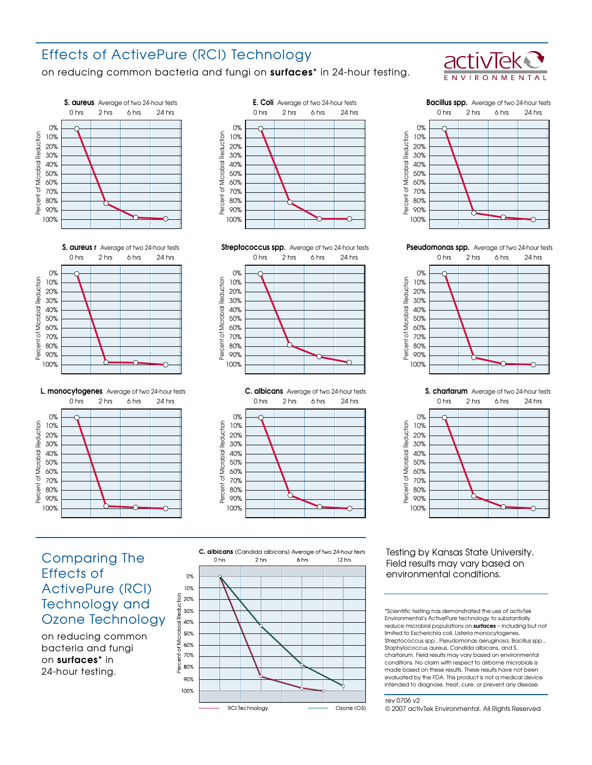# Effects of ActivePure (RCI) Technology

on reducing common bacteria and fungi on surfaces\* in 24-hour testing.



















Pseudomonas spp. Average of two 24-hour tests



S. chartarum Average of two 24-hour tests 0 hrs 2 hrs 6 hrs 24 hrs 0% Percent of Microbial Reduction Microbial Reduction 10% 20% 30% 40% 50% 60%  $\varphi$ 70% Percent 80% 90% 100% ∩

# Comparing The Effects of ActivePure (RCI) Technology and Ozone Technology

on reducing common bacteria and fungi on surfaces\* in 24-hour testing.



Testing by Kansas State University. Field results may vary based on environmental conditions.

\*Scientific testing has demonstrated the use of activTek Environmental's ActivePure technology to substantially reduce microbial populations on surfaces – including but not limited to Escherichia coli, Listeria monocytogenes, Streptococcus spp., Pseudomonas aeruginosa, Bacillus spp., Staphylococcus aureus, Candida albicans, and S. chartarum. Field results may vary based on environmental conditions. No claim with respect to airborne microbials is made based on these results. These results have not been evaluated by the FDA. This product is not a medical device intended to diagnose, treat, cure, or prevent any disease.

#### rev 0706 v2

© 2007 activTek Environmental. All Rights Reserved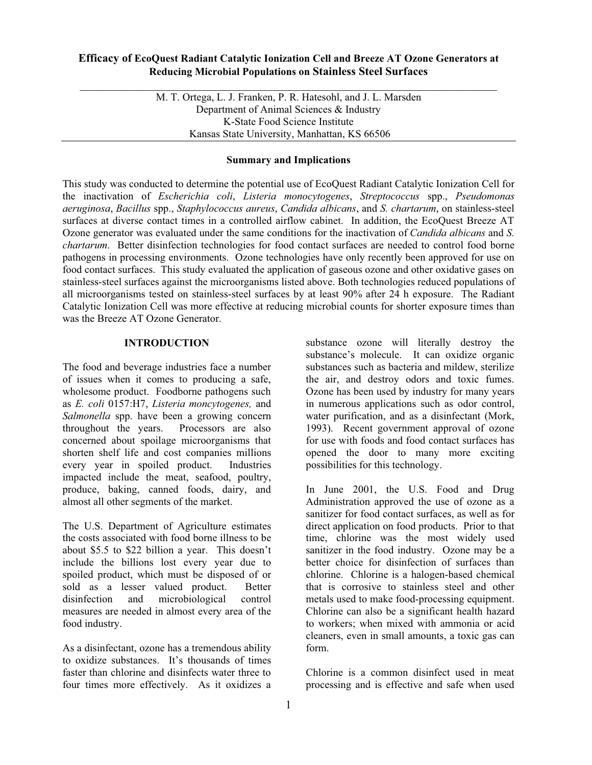### **Efficacy of EcoQuest Radiant Catalytic Ionization Cell and Breeze AT Ozone Generators at Reducing Microbial Populations on Stainless Steel Surfaces**

 $\_$  , and the set of the set of the set of the set of the set of the set of the set of the set of the set of the set of the set of the set of the set of the set of the set of the set of the set of the set of the set of th

M. T. Ortega, L. J. Franken, P. R. Hatesohl, and J. L. Marsden Department of Animal Sciences & Industry K-State Food Science Institute Kansas State University, Manhattan, KS 66506

### **Summary and Implications**

This study was conducted to determine the potential use of EcoQuest Radiant Catalytic Ionization Cell for the inactivation of *Escherichia coli*, *Listeria monocytogenes*, *Streptococcus* spp., *Pseudomonas aeruginosa*, *Bacillus* spp., *Staphylococcus aureus*, *Candida albicans*, and *S. chartarum*, on stainless-steel surfaces at diverse contact times in a controlled airflow cabinet. In addition, the EcoQuest Breeze AT Ozone generator was evaluated under the same conditions for the inactivation of *Candida albicans* and *S. chartarum*. Better disinfection technologies for food contact surfaces are needed to control food borne pathogens in processing environments. Ozone technologies have only recently been approved for use on food contact surfaces. This study evaluated the application of gaseous ozone and other oxidative gases on stainless-steel surfaces against the microorganisms listed above. Both technologies reduced populations of all microorganisms tested on stainless-steel surfaces by at least 90% after 24 h exposure. The Radiant Catalytic Ionization Cell was more effective at reducing microbial counts for shorter exposure times than was the Breeze AT Ozone Generator.

### **INTRODUCTION**

The food and beverage industries face a number of issues when it comes to producing a safe, wholesome product. Foodborne pathogens such as *E. coli* 0157:H7, *Listeria moncytogenes,* and *Salmonella* spp. have been a growing concern throughout the years. Processors are also concerned about spoilage microorganisms that shorten shelf life and cost companies millions every year in spoiled product. Industries impacted include the meat, seafood, poultry, produce, baking, canned foods, dairy, and almost all other segments of the market.

The U.S. Department of Agriculture estimates the costs associated with food borne illness to be about \$5.5 to \$22 billion a year. This doesn't include the billions lost every year due to spoiled product, which must be disposed of or sold as a lesser valued product. Better disinfection and microbiological control measures are needed in almost every area of the food industry.

As a disinfectant, ozone has a tremendous ability to oxidize substances. It's thousands of times faster than chlorine and disinfects water three to four times more effectively. As it oxidizes a substance ozone will literally destroy the substance's molecule. It can oxidize organic substances such as bacteria and mildew, sterilize the air, and destroy odors and toxic fumes. Ozone has been used by industry for many years in numerous applications such as odor control, water purification, and as a disinfectant (Mork, 1993). Recent government approval of ozone for use with foods and food contact surfaces has opened the door to many more exciting possibilities for this technology.

In June 2001, the U.S. Food and Drug Administration approved the use of ozone as a sanitizer for food contact surfaces, as well as for direct application on food products. Prior to that time, chlorine was the most widely used sanitizer in the food industry. Ozone may be a better choice for disinfection of surfaces than chlorine. Chlorine is a halogen-based chemical that is corrosive to stainless steel and other metals used to make food-processing equipment. Chlorine can also be a significant health hazard to workers; when mixed with ammonia or acid cleaners, even in small amounts, a toxic gas can form.

Chlorine is a common disinfect used in meat processing and is effective and safe when used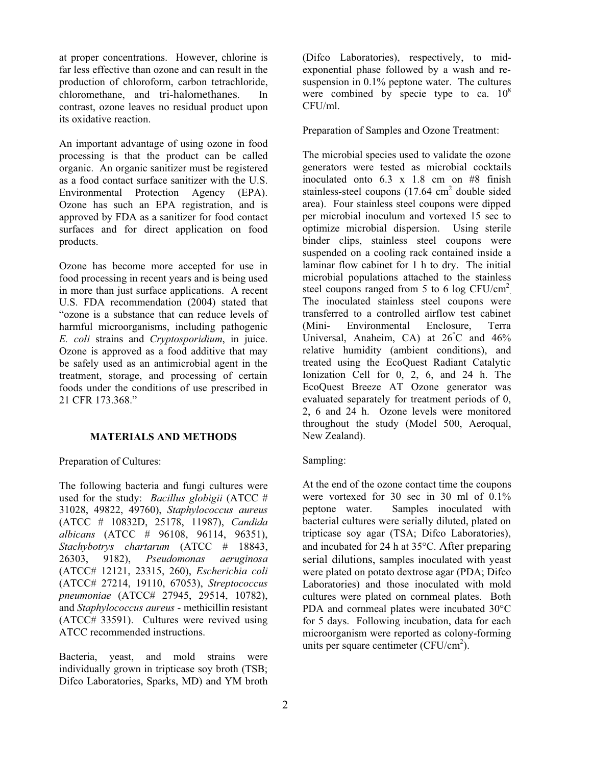at proper concentrations. However, chlorine is far less effective than ozone and can result in the production of chloroform, carbon tetrachloride, chloromethane, and tri-halomethanes. In contrast, ozone leaves no residual product upon its oxidative reaction.

An important advantage of using ozone in food processing is that the product can be called organic. An organic sanitizer must be registered as a food contact surface sanitizer with the U.S. Environmental Protection Agency (EPA). Ozone has such an EPA registration, and is approved by FDA as a sanitizer for food contact surfaces and for direct application on food products.

Ozone has become more accepted for use in food processing in recent years and is being used in more than just surface applications. A recent U.S. FDA recommendation (2004) stated that "ozone is a substance that can reduce levels of harmful microorganisms, including pathogenic *E. coli* strains and *Cryptosporidium*, in juice. Ozone is approved as a food additive that may be safely used as an antimicrobial agent in the treatment, storage, and processing of certain foods under the conditions of use prescribed in 21 CFR 173.368."

#### **MATERIALS AND METHODS**

Preparation of Cultures:

The following bacteria and fungi cultures were used for the study: *Bacillus globigii* (ATCC # 31028, 49822, 49760), *Staphylococcus aureus*  (ATCC # 10832D, 25178, 11987), *Candida albicans* (ATCC # 96108, 96114, 96351), *Stachybotrys chartarum* (ATCC # 18843, 26303, 9182), *Pseudomonas aeruginosa*  (ATCC# 12121, 23315, 260), *Escherichia coli*  (ATCC# 27214, 19110, 67053), *Streptococcus pneumoniae* (ATCC# 27945, 29514, 10782), and *Staphylococcus aureus* - methicillin resistant (ATCC# 33591). Cultures were revived using ATCC recommended instructions.

Bacteria, yeast, and mold strains were individually grown in tripticase soy broth (TSB; Difco Laboratories, Sparks, MD) and YM broth (Difco Laboratories), respectively, to midexponential phase followed by a wash and resuspension in 0.1% peptone water. The cultures were combined by specie type to ca.  $10^8$ CFU/ml.

Preparation of Samples and Ozone Treatment:

The microbial species used to validate the ozone generators were tested as microbial cocktails inoculated onto 6.3 x 1.8 cm on #8 finish stainless-steel coupons  $(17.64 \text{ cm}^2)$  double sided area). Four stainless steel coupons were dipped per microbial inoculum and vortexed 15 sec to optimize microbial dispersion. Using sterile binder clips, stainless steel coupons were suspended on a cooling rack contained inside a laminar flow cabinet for 1 h to dry. The initial microbial populations attached to the stainless steel coupons ranged from 5 to 6 log  $CFU/cm^2$ . The inoculated stainless steel coupons were transferred to a controlled airflow test cabinet (Mini- Environmental Enclosure, Terra Universal, Anaheim, CA) at  $26^{\circ}$ C and  $46\%$ relative humidity (ambient conditions), and treated using the EcoQuest Radiant Catalytic Ionization Cell for 0, 2, 6, and 24 h. The EcoQuest Breeze AT Ozone generator was evaluated separately for treatment periods of 0, 2, 6 and 24 h. Ozone levels were monitored throughout the study (Model 500, Aeroqual, New Zealand).

### Sampling:

At the end of the ozone contact time the coupons were vortexed for 30 sec in 30 ml of  $0.1\%$ peptone water. Samples inoculated with bacterial cultures were serially diluted, plated on tripticase soy agar (TSA; Difco Laboratories), and incubated for 24 h at 35°C. After preparing serial dilutions, samples inoculated with yeast were plated on potato dextrose agar (PDA; Difco Laboratories) and those inoculated with mold cultures were plated on cornmeal plates. Both PDA and cornmeal plates were incubated 30°C for 5 days. Following incubation, data for each microorganism were reported as colony-forming units per square centimeter (CFU/cm<sup>2</sup>).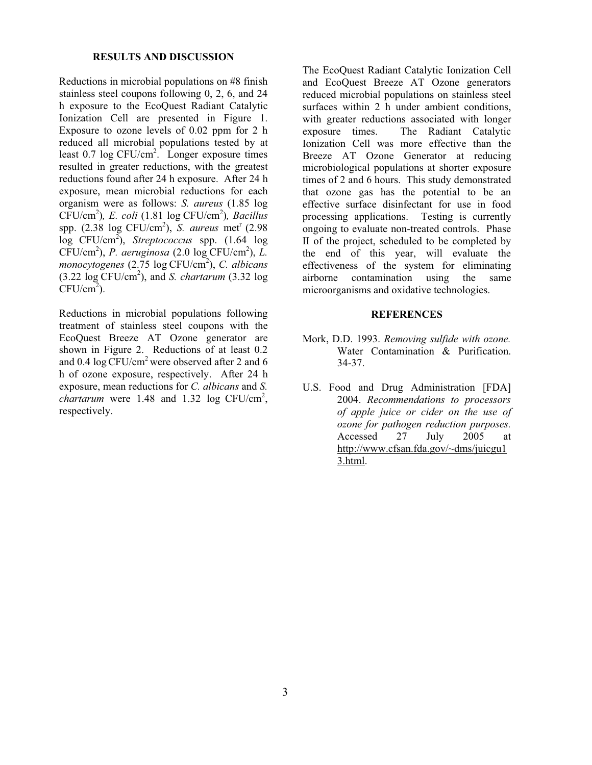#### **RESULTS AND DISCUSSION**

Reductions in microbial populations on #8 finish stainless steel coupons following 0, 2, 6, and 24 h exposure to the EcoQuest Radiant Catalytic Ionization Cell are presented in Figure 1. Exposure to ozone levels of 0.02 ppm for 2 h reduced all microbial populations tested by at least 0.7 log CFU/cm<sup>2</sup>. Longer exposure times resulted in greater reductions, with the greatest reductions found after 24 h exposure. After 24 h exposure, mean microbial reductions for each organism were as follows: *S. aureus* (1.85 log CFU/cm<sup>2</sup> )*, E. coli* (1.81 log CFU/cm<sup>2</sup> )*, Bacillus* spp. (2.38 log CFU/cm<sup>2</sup>), *S. aureus* met<sup>r</sup> (2.98 log CFU/cm<sup>2</sup> ), *Streptococcus* spp. (1.64 log CFU/cm<sup>2</sup> ), *P. aeruginosa* (2.0 log CFU/cm<sup>2</sup> ), *L.* monocytogenes (2.75 log CFU/cm<sup>2</sup>), *C. albicans* (3.22 log CFU/cm<sup>2</sup> ), and *S. chartarum* (3.32 log  $CFU/cm<sup>2</sup>$ ).

Reductions in microbial populations following treatment of stainless steel coupons with the EcoQuest Breeze AT Ozone generator are shown in Figure 2. Reductions of at least 0.2 and 0.4 log CFU/cm<sup>2</sup> were observed after 2 and 6 h of ozone exposure, respectively. After 24 h exposure, mean reductions for *C. albicans* and *S.*  $\frac{1}{2}$  *chartarum* were 1.48 and 1.32 log CFU/cm<sup>2</sup>, respectively.

The EcoQuest Radiant Catalytic Ionization Cell and EcoQuest Breeze AT Ozone generators reduced microbial populations on stainless steel surfaces within 2 h under ambient conditions, with greater reductions associated with longer exposure times. The Radiant Catalytic Ionization Cell was more effective than the Breeze AT Ozone Generator at reducing microbiological populations at shorter exposure times of 2 and 6 hours. This study demonstrated that ozone gas has the potential to be an effective surface disinfectant for use in food processing applications. Testing is currently ongoing to evaluate non-treated controls. Phase II of the project, scheduled to be completed by the end of this year, will evaluate the effectiveness of the system for eliminating airborne contamination using the same microorganisms and oxidative technologies.

#### **REFERENCES**

- Mork, D.D. 1993. *Removing sulfide with ozone.* Water Contamination & Purification. 34-37.
- U.S. Food and Drug Administration [FDA] 2004. *Recommendations to processors of apple juice or cider on the use of ozone for pathogen reduction purposes.* Accessed 27 July 2005 at http://www.cfsan.fda.gov/~dms/juicgu1 3.html.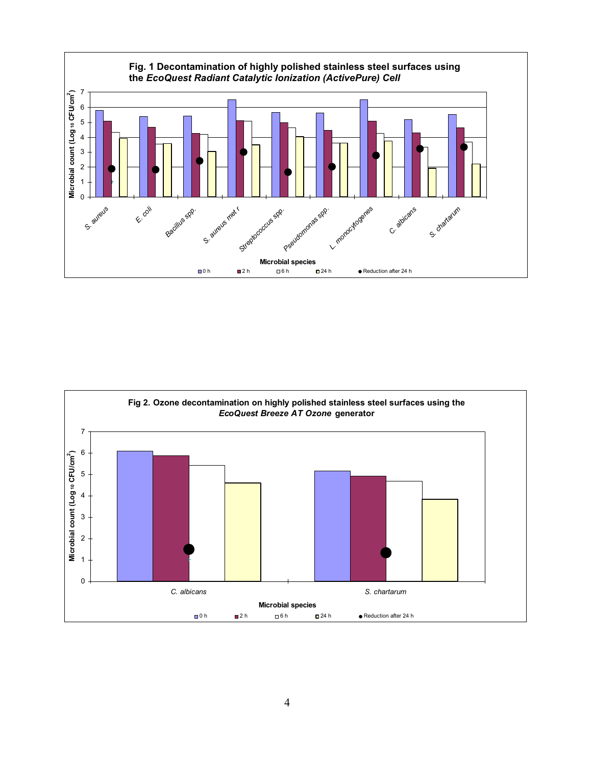

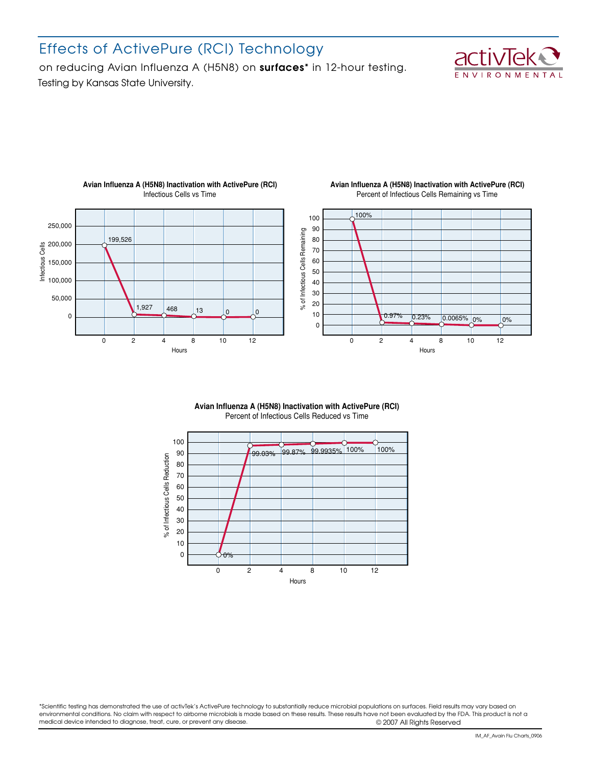# Effects of ActivePure (RCI) Technology

Testing by Kansas State University. on reducing Avian Influenza A (H5N8) on surfaces\* in 12-hour testing.





#### **Avian Influenza A (H5N8) Inactivation with ActivePure (RCI)** Infectious Cells vs Time

#### **Avian Influenza A (H5N8) Inactivation with ActivePure (RCI)** Percent of Infectious Cells Remaining vs Time



#### **Avian Influenza A (H5N8) Inactivation with ActivePure (RCI)** Percent of Infectious Cells Reduced vs Time



\*Scientific testing has demonstrated the use of activTek's ActivePure technology to substantially reduce microbial populations on surfaces. Field results may vary based on environmental conditions. No claim with respect to airborne microbials is made based on these results. These results have not been evaluated by the FDA. This product is not a medical device intended to diagnose, treat, cure, or prevent any disease.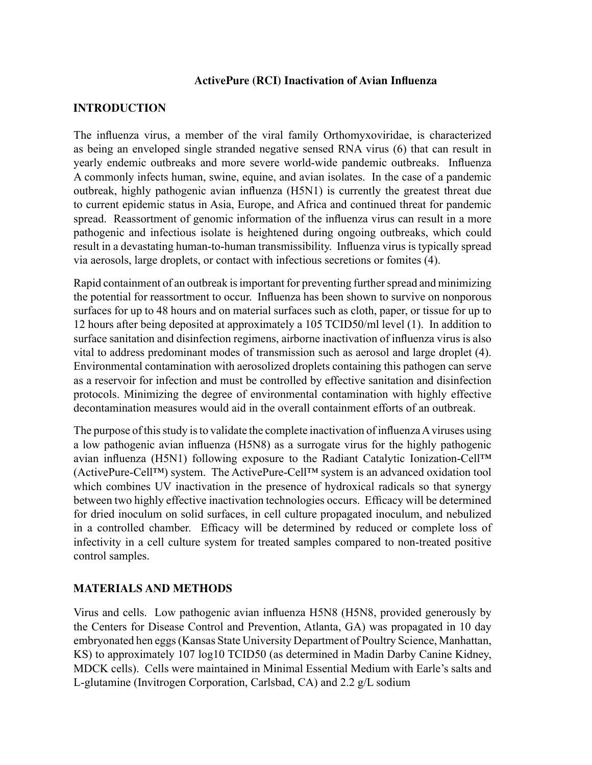## **ActivePure (RCI) Inactivation of Avian Influenza**

## **INTRODUCTION**

The influenza virus, a member of the viral family Orthomyxoviridae, is characterized as being an enveloped single stranded negative sensed RNA virus (6) that can result in yearly endemic outbreaks and more severe world-wide pandemic outbreaks. Influenza A commonly infects human, swine, equine, and avian isolates. In the case of a pandemic outbreak, highly pathogenic avian influenza (H5N1) is currently the greatest threat due to current epidemic status in Asia, Europe, and Africa and continued threat for pandemic spread. Reassortment of genomic information of the influenza virus can result in a more pathogenic and infectious isolate is heightened during ongoing outbreaks, which could result in a devastating human-to-human transmissibility. Influenza virus is typically spread via aerosols, large droplets, or contact with infectious secretions or fomites (4).

Rapid containment of an outbreak is important for preventing further spread and minimizing the potential for reassortment to occur. Influenza has been shown to survive on nonporous surfaces for up to 48 hours and on material surfaces such as cloth, paper, or tissue for up to 12 hours after being deposited at approximately a 105 TCID50/ml level (1). In addition to surface sanitation and disinfection regimens, airborne inactivation of influenza virus is also vital to address predominant modes of transmission such as aerosol and large droplet (4). Environmental contamination with aerosolized droplets containing this pathogen can serve as a reservoir for infection and must be controlled by effective sanitation and disinfection protocols. Minimizing the degree of environmental contamination with highly effective decontamination measures would aid in the overall containment efforts of an outbreak.

The purpose of this study is to validate the complete inactivation of influenza A viruses using a low pathogenic avian influenza (H5N8) as a surrogate virus for the highly pathogenic avian influenza (H5N1) following exposure to the Radiant Catalytic Ionization-Cell™ (ActivePure-Cell™) system. The ActivePure-Cell™ system is an advanced oxidation tool which combines UV inactivation in the presence of hydroxical radicals so that synergy between two highly effective inactivation technologies occurs. Efficacy will be determined for dried inoculum on solid surfaces, in cell culture propagated inoculum, and nebulized in a controlled chamber. Efficacy will be determined by reduced or complete loss of infectivity in a cell culture system for treated samples compared to non-treated positive control samples.

## **MATERIALS AND METHODS**

Virus and cells. Low pathogenic avian influenza H5N8 (H5N8, provided generously by the Centers for Disease Control and Prevention, Atlanta, GA) was propagated in 10 day embryonated hen eggs (Kansas State University Department of Poultry Science, Manhattan, KS) to approximately 107 log10 TCID50 (as determined in Madin Darby Canine Kidney, MDCK cells). Cells were maintained in Minimal Essential Medium with Earle's salts and L-glutamine (Invitrogen Corporation, Carlsbad, CA) and 2.2 g/L sodium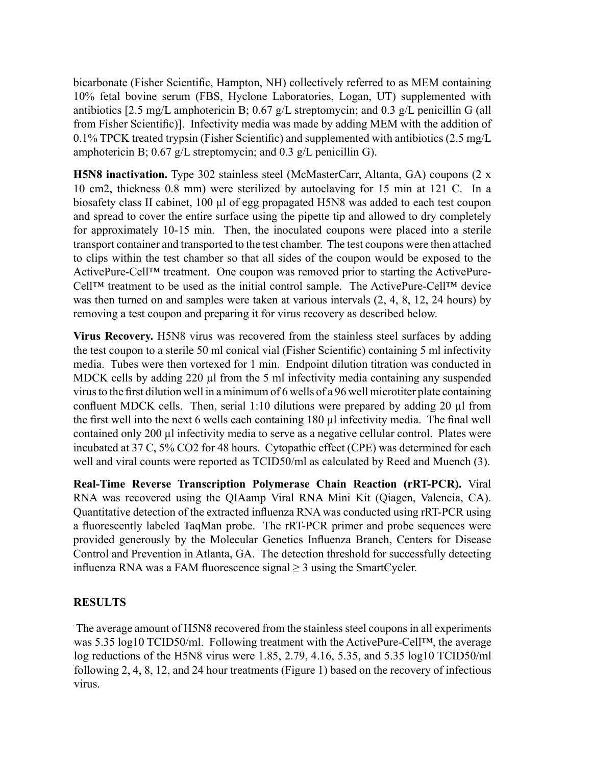bicarbonate (Fisher Scientific, Hampton, NH) collectively referred to as MEM containing bicarbonate (Fisher Scientific, Hampton, NH) collectively referred to as MEM containing 10% fetal bovine serum (FBS, Hyclone Laboratories, Logan, UT) supplemented with antibiotics [2.5 mg/L amphotericin B; 0.67 g/L streptomycin; and 0.3 g/L penicillin G (all antibiotics [2.5 mg/L amphotericin B; 0.67 g/L streptomycin; and 0.3 g/L penicillin G (all from Fisher Scientific)]. Infectivity media was made by adding MEM with the from Fisher Scientific)]. Infectivity media was made by adding MEM with the addition of  $0.1\%$  TPCK treated trypsin (Fisher Scientific) and supplemented with antibiotics (2.5 mg/L) amphotericin B;  $0.67$  g/L streptomycin; and  $0.3$  g/L penicillin G).

**H5N8 inactivation.** Type 302 stainless steel (McMasterCarr, Altanta, GA) coupons (2 x **H5N8 inactivation.** Type 302 stainless steel (McMasterCarr, Altanta, GA) coupons (2 x 10 cm<sup>2</sup> , thickness 0.8 mm) were sterilized by autoclaving for 15 min at 121 C. In a 10 cm2, thickness 0.8 mm) were sterilized by autoclaving for 15 min at 121 C. In a biosafety class II cabinet, 100 μl of egg propagated H5N8 was added to each test coupon and spread to cover the entire surface using the pipette tip and allowed to dry completely and spread to cover the entire surface using the pipette tip and allowed to dry completely for approximately 10-15 min. Then, the inoculated coupons were placed into a sterile for approximately 10-15 min. Then, the inoculated coupons were placed into a sterile transport container and transported to the test chamber. The test coupons were then transport container and transported to the test chamber. The test coupons were then attached to clips within the test chamber so that all sides of the coupon would be exposed to the ActivePure-Cell™ treatment. One coupon was removed prior to starting the ActivePure-Cell™ treatment to be used as the initial control sample. The ActivePure-Cell™ device was then turned on and samples were taken at various intervals  $(2, 4, 8, 12, 24$  hours) by a test coupon and preparing it for virus recovery as described below. removing a test coupon and preparing it for virus recovery as described below.

**Virus Recovery.** H5N8 virus was recovered from the stainless steel surfaces by adding **Virus Recovery.** H5N8 virus was recovered from the stainless steel surfaces by adding the test coupon to a sterile 50 ml conical vial (Fisher Scientific) containing 5 ml the test coupon to a sterile 50 ml conical vial (Fisher Scientific) containing 5 ml infectivity media. Tubes were then vortexed for 1 min. Endpoint dilution titration was conducted in MDCK cells by adding 220 μl from the 5 ml infectivity media containing any suspended virus to the first dilution well in a minimum of 6 wells of a 96 well microtiter plate containing confluent MDCK cells. Then, serial 1:10 dilutions were prepared by adding 20  $\mu$ l from the first well into the next 6 wells each containing 180  $\mu$ l infectivity media. The final well contained only 200 μl infectivity media to serve as a negative cellular control. Plates were incubated at 37 C, 5% CO2 for 48 hours. Cytopathic effect (CPE) was determined for each  $\text{Cyl}$  and viral counts were reported as  $\text{TCID50/ml}$  as calculated by Pood and Muonah  $(3)$ Wen and your counts were reported as a CID30/ml a well and viral counts were reported as TCID50/ml as calculated by Reed and Muench (3).

RNA was recovered using the QIAamp Viral RNA Mini Kit (Qiagen, Valencia, CA). Quantitative detection of the extracted influenza RNA was conducted using rRT-PCR using Quantitative detection of the extracted influenza RNA was conducted using *r*RT-PCR a fluorescently labeled TaqMan probe. The rRT-PCR primer and probe sequences were using a fluorescently labeled TaqMan probe. The *r*RT-PCR primer and probe sequences provided generously by the Molecular Genetics Influenza Branch, Centers for Disease were provided generously by the Molecular Genetics Influenza Branch, Centers for Control and Prevention in Atlanta, GA. The detection threshold for successfully detecting  $D$  and  $D$  and  $D$  and  $D$  is the successfully  $D$  and  $D$  is successfully accessfully  $D$  is  $\mathbb{R}$  in  $\mathbb{R}$  and  $D$  and  $\mathbb{R}$  is  $\mathbb{R}$  and  $D$  is  $\mathbb{R}$  and  $D$  is  $\mathbb{R}$  and  $\mathbb{R}$  is  $\mathbb{R}$  and  $\math$  $\frac{d}{dx}$ **Real-Time Reverse Transcription Polymerase Chain Reaction (rRT-PCR).** Viral influenza RNA was a FAM fluorescence signal  $\geq$  3 using the SmartCycler.

## **RESULTS**

The average amount of H5N8 recovered from the stainless steel coupons in all experiments was 5.35 log10 TCID50/ml. Following treatment with the ActivePure-Cell™, the average log reductions of the H5N8 virus were  $1.85$ ,  $2.79$ ,  $4.16$ ,  $5.35$ , and  $5.35$  log10 TCID50/ml following  $2, 4, 8, 12$ , and  $24$  hour treatments (Figure 1) based on the recovery of infectious virus.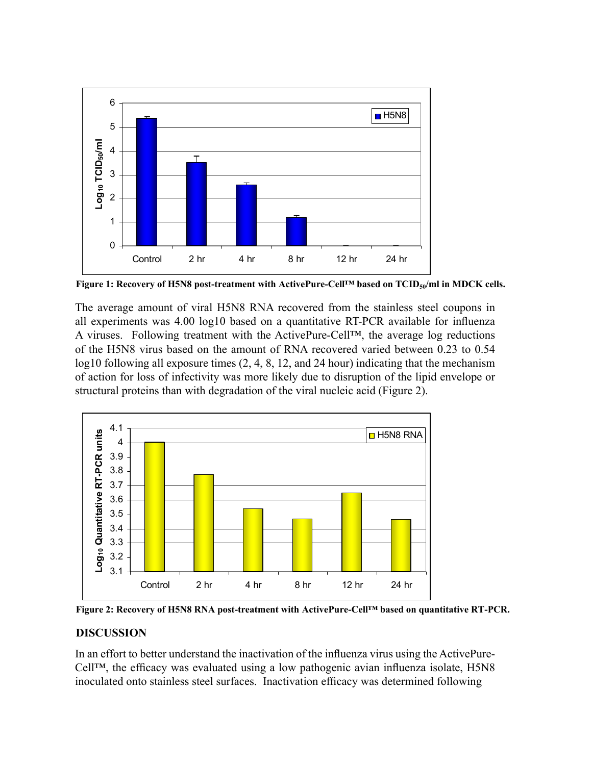

**Figure 1: Recovery of H5N8 post-treatment with ActivePure-Cell™ based on TCID50/ml in MDCK cells.** 

The average amount of viral H5N8 RNA recovered from the stainless steel coupons in all experiments was 4.00 log10 based on a quantitative RT-PCR available for influenza A viruses. Following treatment with the ActivePure-Cell™, the average log reductions of the H5N8 virus based on the amount of RNA recovered varied between 0.23 to 0.54 log10 following all exposure times  $(2, 4, 8, 12,$  and 24 hour) indicating that the mechanism of action for loss of infectivity was more likely due to disruption of the lipid envelope or structural proteins than with degradation of the viral nucleic acid (Figure 2). structural proteins than with degradation of the viral nucleic acid (Figure 2).



**Figure 2: Recovery of H5N8 RNA post-treatment with ActivePure-Cell™ based on quantitative RT-PCR.** 

## **DISCUSSION**

In an effort to better understand the inactivation of the influenza virus using the ActivePure-<br> $\frac{1}{2}$ Cell™, the efficacy was evaluated using a low pathogenic avian influenza isolate, H5N8 Cell™, the efficacy was evaluated using a low pathogenic avian influenza isolate, H5N8 inoculated onto stainless steel surfaces. Inactivation efficacy was determined following inoculated onto stainless steel surfaces. Inactivation efficacy was determined following